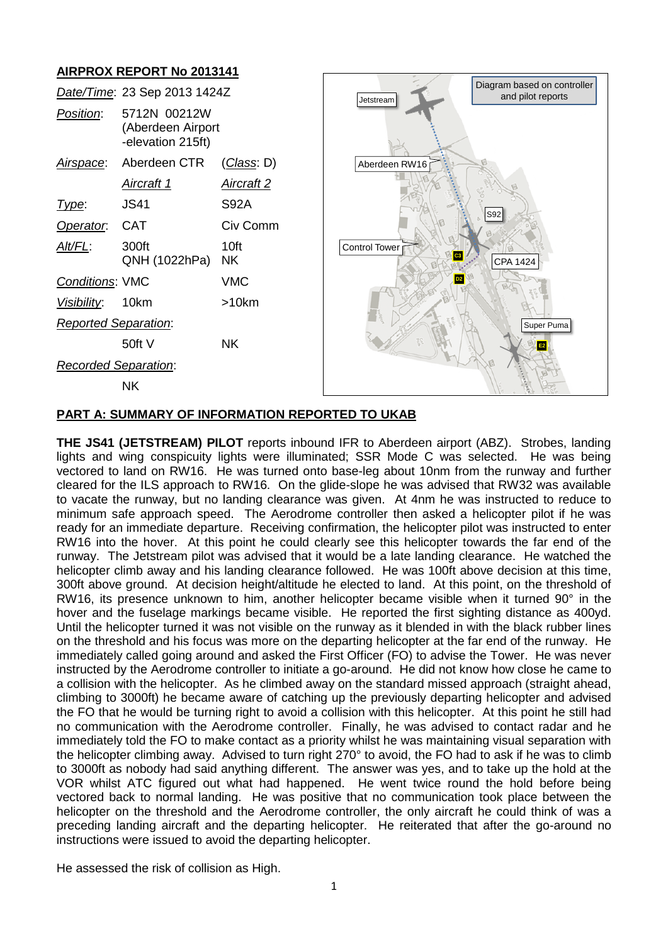# **AIRPROX REPORT No 2013141**



## **PART A: SUMMARY OF INFORMATION REPORTED TO UKAB**

**THE JS41 (JETSTREAM) PILOT** reports inbound IFR to Aberdeen airport (ABZ). Strobes, landing lights and wing conspicuity lights were illuminated; SSR Mode C was selected. He was being vectored to land on RW16. He was turned onto base-leg about 10nm from the runway and further cleared for the ILS approach to RW16. On the glide-slope he was advised that RW32 was available to vacate the runway, but no landing clearance was given. At 4nm he was instructed to reduce to minimum safe approach speed. The Aerodrome controller then asked a helicopter pilot if he was ready for an immediate departure. Receiving confirmation, the helicopter pilot was instructed to enter RW16 into the hover. At this point he could clearly see this helicopter towards the far end of the runway. The Jetstream pilot was advised that it would be a late landing clearance. He watched the helicopter climb away and his landing clearance followed. He was 100ft above decision at this time, 300ft above ground. At decision height/altitude he elected to land. At this point, on the threshold of RW16, its presence unknown to him, another helicopter became visible when it turned 90° in the hover and the fuselage markings became visible. He reported the first sighting distance as 400yd. Until the helicopter turned it was not visible on the runway as it blended in with the black rubber lines on the threshold and his focus was more on the departing helicopter at the far end of the runway. He immediately called going around and asked the First Officer (FO) to advise the Tower. He was never instructed by the Aerodrome controller to initiate a go-around. He did not know how close he came to a collision with the helicopter. As he climbed away on the standard missed approach (straight ahead, climbing to 3000ft) he became aware of catching up the previously departing helicopter and advised the FO that he would be turning right to avoid a collision with this helicopter. At this point he still had no communication with the Aerodrome controller. Finally, he was advised to contact radar and he immediately told the FO to make contact as a priority whilst he was maintaining visual separation with the helicopter climbing away. Advised to turn right 270° to avoid, the FO had to ask if he was to climb to 3000ft as nobody had said anything different. The answer was yes, and to take up the hold at the VOR whilst ATC figured out what had happened. He went twice round the hold before being vectored back to normal landing. He was positive that no communication took place between the helicopter on the threshold and the Aerodrome controller, the only aircraft he could think of was a preceding landing aircraft and the departing helicopter. He reiterated that after the go-around no instructions were issued to avoid the departing helicopter.

He assessed the risk of collision as High.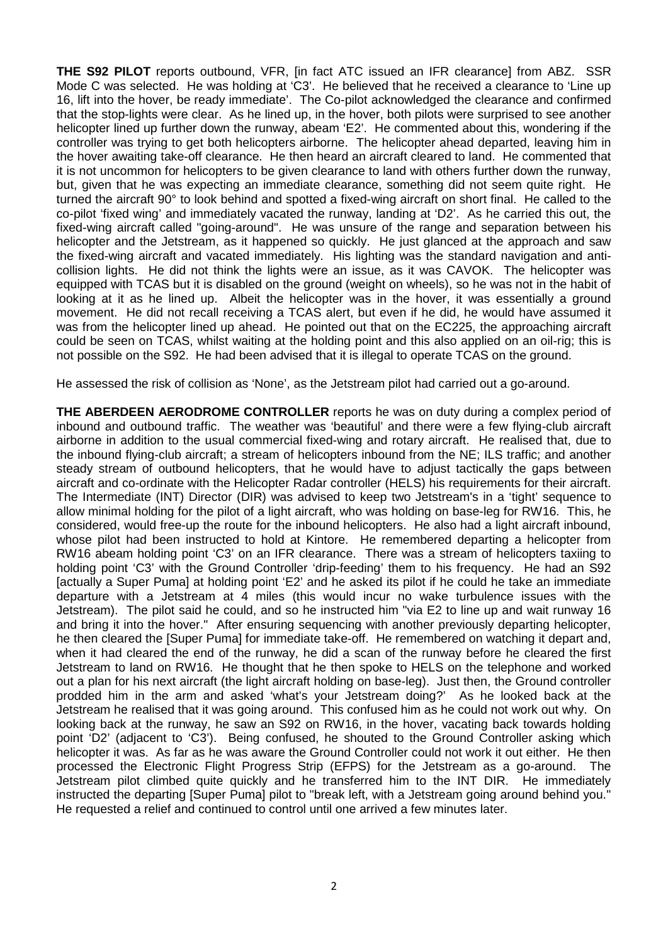**THE S92 PILOT** reports outbound, VFR, [in fact ATC issued an IFR clearance] from ABZ. SSR Mode C was selected. He was holding at 'C3'. He believed that he received a clearance to 'Line up 16, lift into the hover, be ready immediate'. The Co-pilot acknowledged the clearance and confirmed that the stop-lights were clear. As he lined up, in the hover, both pilots were surprised to see another helicopter lined up further down the runway, abeam 'E2'. He commented about this, wondering if the controller was trying to get both helicopters airborne. The helicopter ahead departed, leaving him in the hover awaiting take-off clearance. He then heard an aircraft cleared to land. He commented that it is not uncommon for helicopters to be given clearance to land with others further down the runway, but, given that he was expecting an immediate clearance, something did not seem quite right. He turned the aircraft 90° to look behind and spotted a fixed-wing aircraft on short final. He called to the co-pilot 'fixed wing' and immediately vacated the runway, landing at 'D2'. As he carried this out, the fixed-wing aircraft called "going-around". He was unsure of the range and separation between his helicopter and the Jetstream, as it happened so quickly. He just glanced at the approach and saw the fixed-wing aircraft and vacated immediately. His lighting was the standard navigation and anticollision lights. He did not think the lights were an issue, as it was CAVOK. The helicopter was equipped with TCAS but it is disabled on the ground (weight on wheels), so he was not in the habit of looking at it as he lined up. Albeit the helicopter was in the hover, it was essentially a ground movement. He did not recall receiving a TCAS alert, but even if he did, he would have assumed it was from the helicopter lined up ahead. He pointed out that on the EC225, the approaching aircraft could be seen on TCAS, whilst waiting at the holding point and this also applied on an oil-rig; this is not possible on the S92. He had been advised that it is illegal to operate TCAS on the ground.

He assessed the risk of collision as 'None', as the Jetstream pilot had carried out a go-around.

**THE ABERDEEN AERODROME CONTROLLER** reports he was on duty during a complex period of inbound and outbound traffic. The weather was 'beautiful' and there were a few flying-club aircraft airborne in addition to the usual commercial fixed-wing and rotary aircraft. He realised that, due to the inbound flying-club aircraft; a stream of helicopters inbound from the NE; ILS traffic; and another steady stream of outbound helicopters, that he would have to adjust tactically the gaps between aircraft and co-ordinate with the Helicopter Radar controller (HELS) his requirements for their aircraft. The Intermediate (INT) Director (DIR) was advised to keep two Jetstream's in a 'tight' sequence to allow minimal holding for the pilot of a light aircraft, who was holding on base-leg for RW16. This, he considered, would free-up the route for the inbound helicopters. He also had a light aircraft inbound, whose pilot had been instructed to hold at Kintore. He remembered departing a helicopter from RW16 abeam holding point 'C3' on an IFR clearance. There was a stream of helicopters taxiing to holding point 'C3' with the Ground Controller 'drip-feeding' them to his frequency. He had an S92 [actually a Super Puma] at holding point 'E2' and he asked its pilot if he could he take an immediate departure with a Jetstream at 4 miles (this would incur no wake turbulence issues with the Jetstream). The pilot said he could, and so he instructed him "via E2 to line up and wait runway 16 and bring it into the hover." After ensuring sequencing with another previously departing helicopter, he then cleared the [Super Puma] for immediate take-off. He remembered on watching it depart and, when it had cleared the end of the runway, he did a scan of the runway before he cleared the first Jetstream to land on RW16. He thought that he then spoke to HELS on the telephone and worked out a plan for his next aircraft (the light aircraft holding on base-leg). Just then, the Ground controller prodded him in the arm and asked 'what's your Jetstream doing?' As he looked back at the Jetstream he realised that it was going around. This confused him as he could not work out why. On looking back at the runway, he saw an S92 on RW16, in the hover, vacating back towards holding point 'D2' (adjacent to 'C3'). Being confused, he shouted to the Ground Controller asking which helicopter it was. As far as he was aware the Ground Controller could not work it out either. He then processed the Electronic Flight Progress Strip (EFPS) for the Jetstream as a go-around. The Jetstream pilot climbed quite quickly and he transferred him to the INT DIR. He immediately instructed the departing [Super Puma] pilot to "break left, with a Jetstream going around behind you." He requested a relief and continued to control until one arrived a few minutes later.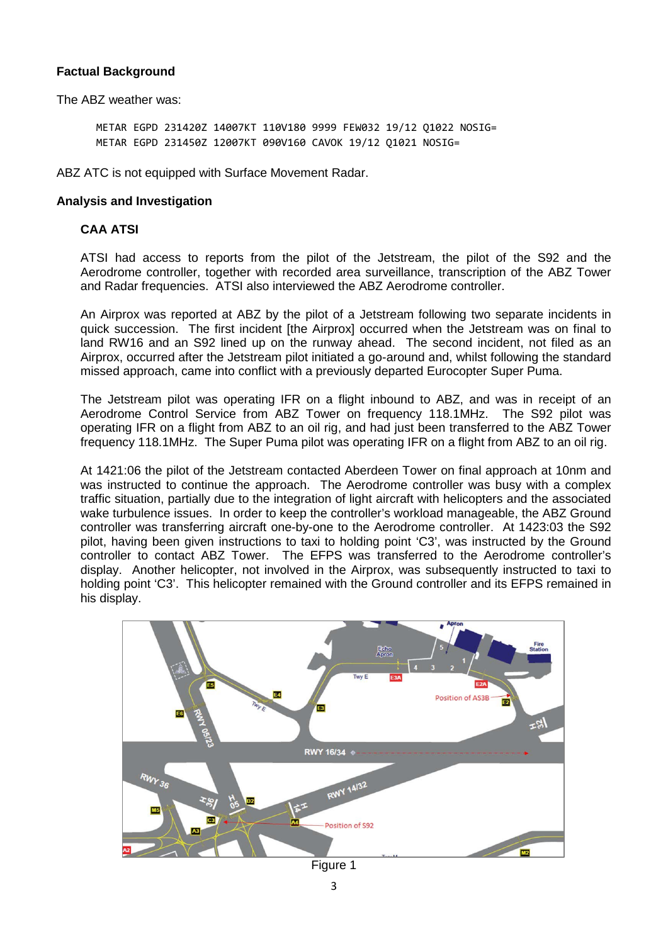# **Factual Background**

The ABZ weather was:

METAR EGPD 231420Z 14007KT 110V180 9999 FEW032 19/12 Q1022 NOSIG= METAR EGPD 231450Z 12007KT 090V160 CAVOK 19/12 Q1021 NOSIG=

ABZ ATC is not equipped with Surface Movement Radar.

#### **Analysis and Investigation**

#### **CAA ATSI**

ATSI had access to reports from the pilot of the Jetstream, the pilot of the S92 and the Aerodrome controller, together with recorded area surveillance, transcription of the ABZ Tower and Radar frequencies. ATSI also interviewed the ABZ Aerodrome controller.

An Airprox was reported at ABZ by the pilot of a Jetstream following two separate incidents in quick succession. The first incident [the Airprox] occurred when the Jetstream was on final to land RW16 and an S92 lined up on the runway ahead. The second incident, not filed as an Airprox, occurred after the Jetstream pilot initiated a go-around and, whilst following the standard missed approach, came into conflict with a previously departed Eurocopter Super Puma.

The Jetstream pilot was operating IFR on a flight inbound to ABZ, and was in receipt of an Aerodrome Control Service from ABZ Tower on frequency 118.1MHz. The S92 pilot was operating IFR on a flight from ABZ to an oil rig, and had just been transferred to the ABZ Tower frequency 118.1MHz. The Super Puma pilot was operating IFR on a flight from ABZ to an oil rig.

At 1421:06 the pilot of the Jetstream contacted Aberdeen Tower on final approach at 10nm and was instructed to continue the approach. The Aerodrome controller was busy with a complex traffic situation, partially due to the integration of light aircraft with helicopters and the associated wake turbulence issues. In order to keep the controller's workload manageable, the ABZ Ground controller was transferring aircraft one-by-one to the Aerodrome controller. At 1423:03 the S92 pilot, having been given instructions to taxi to holding point 'C3', was instructed by the Ground controller to contact ABZ Tower. The EFPS was transferred to the Aerodrome controller's display. Another helicopter, not involved in the Airprox, was subsequently instructed to taxi to holding point 'C3'. This helicopter remained with the Ground controller and its EFPS remained in his display.



Figure 1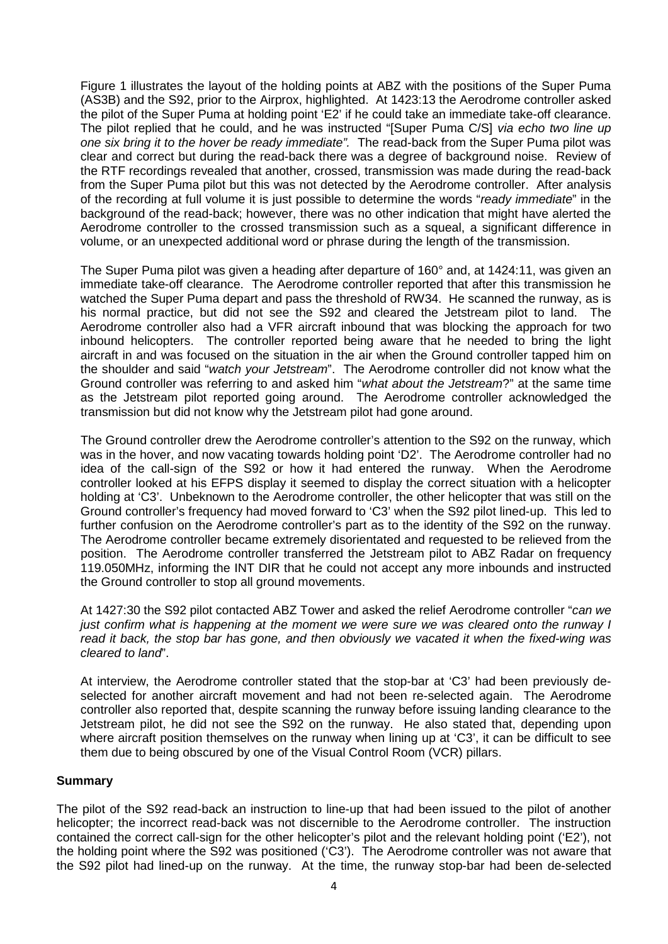Figure 1 illustrates the layout of the holding points at ABZ with the positions of the Super Puma (AS3B) and the S92, prior to the Airprox, highlighted. At 1423:13 the Aerodrome controller asked the pilot of the Super Puma at holding point 'E2' if he could take an immediate take-off clearance. The pilot replied that he could, and he was instructed "[Super Puma C/S] *via echo two line up one six bring it to the hover be ready immediate".* The read-back from the Super Puma pilot was clear and correct but during the read-back there was a degree of background noise. Review of the RTF recordings revealed that another, crossed, transmission was made during the read-back from the Super Puma pilot but this was not detected by the Aerodrome controller. After analysis of the recording at full volume it is just possible to determine the words "*ready immediate*" in the background of the read-back; however, there was no other indication that might have alerted the Aerodrome controller to the crossed transmission such as a squeal, a significant difference in volume, or an unexpected additional word or phrase during the length of the transmission.

The Super Puma pilot was given a heading after departure of 160° and, at 1424:11, was given an immediate take-off clearance. The Aerodrome controller reported that after this transmission he watched the Super Puma depart and pass the threshold of RW34. He scanned the runway, as is his normal practice, but did not see the S92 and cleared the Jetstream pilot to land. The Aerodrome controller also had a VFR aircraft inbound that was blocking the approach for two inbound helicopters. The controller reported being aware that he needed to bring the light aircraft in and was focused on the situation in the air when the Ground controller tapped him on the shoulder and said "*watch your Jetstream*". The Aerodrome controller did not know what the Ground controller was referring to and asked him "*what about the Jetstream*?" at the same time as the Jetstream pilot reported going around. The Aerodrome controller acknowledged the transmission but did not know why the Jetstream pilot had gone around.

The Ground controller drew the Aerodrome controller's attention to the S92 on the runway, which was in the hover, and now vacating towards holding point 'D2'. The Aerodrome controller had no idea of the call-sign of the S92 or how it had entered the runway. When the Aerodrome controller looked at his EFPS display it seemed to display the correct situation with a helicopter holding at 'C3'. Unbeknown to the Aerodrome controller, the other helicopter that was still on the Ground controller's frequency had moved forward to 'C3' when the S92 pilot lined-up. This led to further confusion on the Aerodrome controller's part as to the identity of the S92 on the runway. The Aerodrome controller became extremely disorientated and requested to be relieved from the position. The Aerodrome controller transferred the Jetstream pilot to ABZ Radar on frequency 119.050MHz, informing the INT DIR that he could not accept any more inbounds and instructed the Ground controller to stop all ground movements.

At 1427:30 the S92 pilot contacted ABZ Tower and asked the relief Aerodrome controller "*can we just confirm what is happening at the moment we were sure we was cleared onto the runway I read it back, the stop bar has gone, and then obviously we vacated it when the fixed-wing was cleared to land*".

At interview, the Aerodrome controller stated that the stop-bar at 'C3' had been previously deselected for another aircraft movement and had not been re-selected again. The Aerodrome controller also reported that, despite scanning the runway before issuing landing clearance to the Jetstream pilot, he did not see the S92 on the runway. He also stated that, depending upon where aircraft position themselves on the runway when lining up at 'C3', it can be difficult to see them due to being obscured by one of the Visual Control Room (VCR) pillars.

## **Summary**

The pilot of the S92 read-back an instruction to line-up that had been issued to the pilot of another helicopter; the incorrect read-back was not discernible to the Aerodrome controller. The instruction contained the correct call-sign for the other helicopter's pilot and the relevant holding point ('E2'), not the holding point where the S92 was positioned ('C3'). The Aerodrome controller was not aware that the S92 pilot had lined-up on the runway. At the time, the runway stop-bar had been de-selected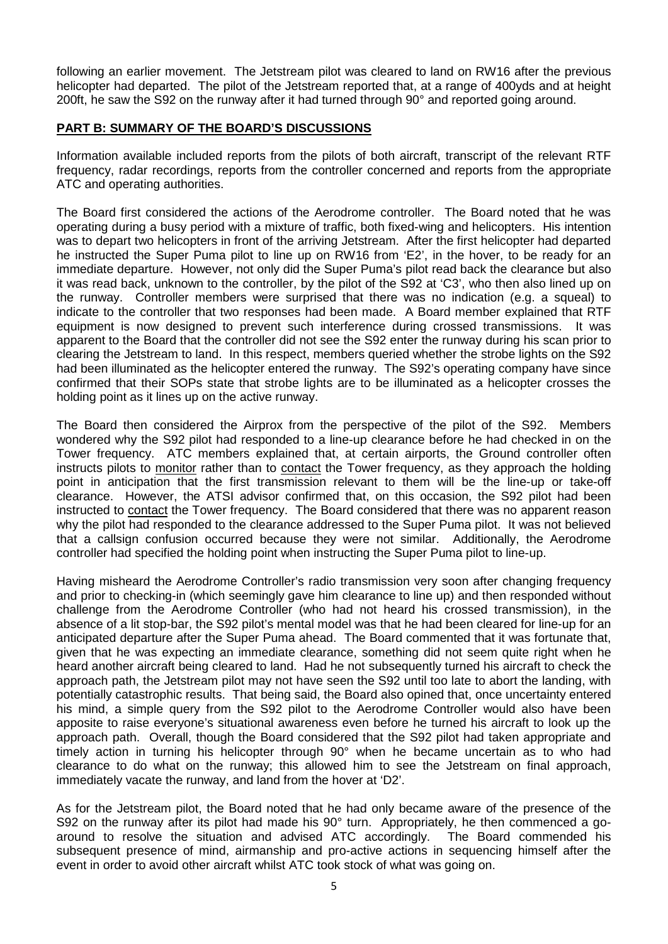following an earlier movement. The Jetstream pilot was cleared to land on RW16 after the previous helicopter had departed. The pilot of the Jetstream reported that, at a range of 400yds and at height 200ft, he saw the S92 on the runway after it had turned through 90° and reported going around.

# **PART B: SUMMARY OF THE BOARD'S DISCUSSIONS**

Information available included reports from the pilots of both aircraft, transcript of the relevant RTF frequency, radar recordings, reports from the controller concerned and reports from the appropriate ATC and operating authorities.

The Board first considered the actions of the Aerodrome controller. The Board noted that he was operating during a busy period with a mixture of traffic, both fixed-wing and helicopters. His intention was to depart two helicopters in front of the arriving Jetstream. After the first helicopter had departed he instructed the Super Puma pilot to line up on RW16 from 'E2', in the hover, to be ready for an immediate departure. However, not only did the Super Puma's pilot read back the clearance but also it was read back, unknown to the controller, by the pilot of the S92 at 'C3', who then also lined up on the runway. Controller members were surprised that there was no indication (e.g. a squeal) to indicate to the controller that two responses had been made. A Board member explained that RTF equipment is now designed to prevent such interference during crossed transmissions. It was apparent to the Board that the controller did not see the S92 enter the runway during his scan prior to clearing the Jetstream to land. In this respect, members queried whether the strobe lights on the S92 had been illuminated as the helicopter entered the runway. The S92's operating company have since confirmed that their SOPs state that strobe lights are to be illuminated as a helicopter crosses the holding point as it lines up on the active runway.

The Board then considered the Airprox from the perspective of the pilot of the S92. Members wondered why the S92 pilot had responded to a line-up clearance before he had checked in on the Tower frequency. ATC members explained that, at certain airports, the Ground controller often instructs pilots to monitor rather than to contact the Tower frequency, as they approach the holding point in anticipation that the first transmission relevant to them will be the line-up or take-off clearance. However, the ATSI advisor confirmed that, on this occasion, the S92 pilot had been instructed to contact the Tower frequency. The Board considered that there was no apparent reason why the pilot had responded to the clearance addressed to the Super Puma pilot. It was not believed that a callsign confusion occurred because they were not similar. Additionally, the Aerodrome controller had specified the holding point when instructing the Super Puma pilot to line-up.

Having misheard the Aerodrome Controller's radio transmission very soon after changing frequency and prior to checking-in (which seemingly gave him clearance to line up) and then responded without challenge from the Aerodrome Controller (who had not heard his crossed transmission), in the absence of a lit stop-bar, the S92 pilot's mental model was that he had been cleared for line-up for an anticipated departure after the Super Puma ahead. The Board commented that it was fortunate that, given that he was expecting an immediate clearance, something did not seem quite right when he heard another aircraft being cleared to land. Had he not subsequently turned his aircraft to check the approach path, the Jetstream pilot may not have seen the S92 until too late to abort the landing, with potentially catastrophic results. That being said, the Board also opined that, once uncertainty entered his mind, a simple query from the S92 pilot to the Aerodrome Controller would also have been apposite to raise everyone's situational awareness even before he turned his aircraft to look up the approach path. Overall, though the Board considered that the S92 pilot had taken appropriate and timely action in turning his helicopter through 90° when he became uncertain as to who had clearance to do what on the runway; this allowed him to see the Jetstream on final approach, immediately vacate the runway, and land from the hover at 'D2'.

As for the Jetstream pilot, the Board noted that he had only became aware of the presence of the S92 on the runway after its pilot had made his 90° turn. Appropriately, he then commenced a goaround to resolve the situation and advised ATC accordingly. The Board commended his subsequent presence of mind, airmanship and pro-active actions in sequencing himself after the event in order to avoid other aircraft whilst ATC took stock of what was going on.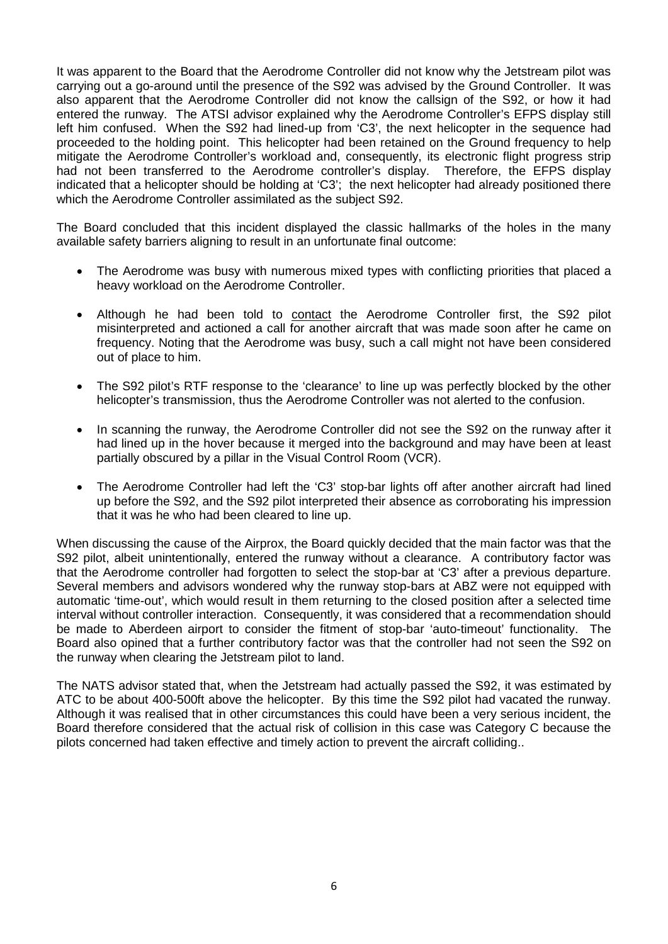It was apparent to the Board that the Aerodrome Controller did not know why the Jetstream pilot was carrying out a go-around until the presence of the S92 was advised by the Ground Controller. It was also apparent that the Aerodrome Controller did not know the callsign of the S92, or how it had entered the runway. The ATSI advisor explained why the Aerodrome Controller's EFPS display still left him confused. When the S92 had lined-up from 'C3', the next helicopter in the sequence had proceeded to the holding point. This helicopter had been retained on the Ground frequency to help mitigate the Aerodrome Controller's workload and, consequently, its electronic flight progress strip had not been transferred to the Aerodrome controller's display. Therefore, the EFPS display indicated that a helicopter should be holding at 'C3'; the next helicopter had already positioned there which the Aerodrome Controller assimilated as the subject S92.

The Board concluded that this incident displayed the classic hallmarks of the holes in the many available safety barriers aligning to result in an unfortunate final outcome:

- The Aerodrome was busy with numerous mixed types with conflicting priorities that placed a heavy workload on the Aerodrome Controller.
- Although he had been told to contact the Aerodrome Controller first, the S92 pilot misinterpreted and actioned a call for another aircraft that was made soon after he came on frequency. Noting that the Aerodrome was busy, such a call might not have been considered out of place to him.
- The S92 pilot's RTF response to the 'clearance' to line up was perfectly blocked by the other helicopter's transmission, thus the Aerodrome Controller was not alerted to the confusion.
- In scanning the runway, the Aerodrome Controller did not see the S92 on the runway after it had lined up in the hover because it merged into the background and may have been at least partially obscured by a pillar in the Visual Control Room (VCR).
- The Aerodrome Controller had left the 'C3' stop-bar lights off after another aircraft had lined up before the S92, and the S92 pilot interpreted their absence as corroborating his impression that it was he who had been cleared to line up.

When discussing the cause of the Airprox, the Board quickly decided that the main factor was that the S92 pilot, albeit unintentionally, entered the runway without a clearance. A contributory factor was that the Aerodrome controller had forgotten to select the stop-bar at 'C3' after a previous departure. Several members and advisors wondered why the runway stop-bars at ABZ were not equipped with automatic 'time-out', which would result in them returning to the closed position after a selected time interval without controller interaction. Consequently, it was considered that a recommendation should be made to Aberdeen airport to consider the fitment of stop-bar 'auto-timeout' functionality. The Board also opined that a further contributory factor was that the controller had not seen the S92 on the runway when clearing the Jetstream pilot to land.

The NATS advisor stated that, when the Jetstream had actually passed the S92, it was estimated by ATC to be about 400-500ft above the helicopter. By this time the S92 pilot had vacated the runway. Although it was realised that in other circumstances this could have been a very serious incident, the Board therefore considered that the actual risk of collision in this case was Category C because the pilots concerned had taken effective and timely action to prevent the aircraft colliding..